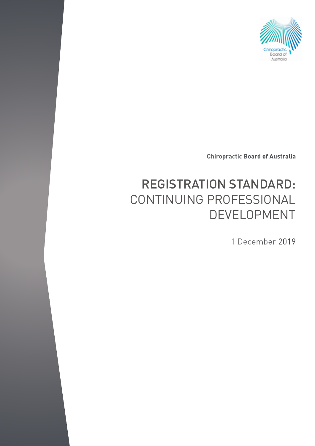

**Chiropractic Board of Australia**

# REGISTRATION STANDARD: CONTINUING PROFESSIONAL DEVELOPMENT

1 December 2019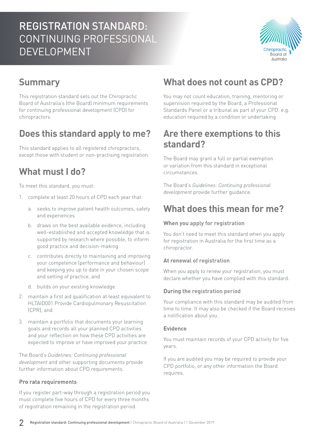# REGISTRATION STANDARD: CONTINUING PROFESSIONAL DEVELOPMENT



# **Summary**

This registration standard sets out the Chiropractic Board of Australia's (the Board) minimum requirements for continuing professional development (CPD) for chiropractors.

# **Does this standard apply to me?**

This standard applies to all registered chiropractors, except those with student or non-practising registration.

### **What must I do?**

To meet this standard, you must:

- 1. complete at least 20 hours of CPD each year that:
	- a. seeks to improve patient health outcomes, safety and experiences
	- b. draws on the best available evidence, including well-established and accepted knowledge that is supported by research where possible, to inform good practice and decision-making
	- c. contributes directly to maintaining and improving your competence (performance and behaviour) and keeping you up to date in your chosen scope and setting of practice, and
	- d. builds on your existing knowledge
- 2. maintain a first aid qualification at least equivalent to HLTAID001 Provide Cardiopulmonary Resuscitation (CPR), and
- 3. maintain a portfolio that documents your learning goals and records all your planned CPD activities and your reflection on how these CPD activities are expected to improve or have improved your practice.

The Board's *Guidelines: Continuing professional development* and other supporting documents provide further information about CPD requirements.

#### **Pro rata requirements**

If you register part-way through a registration period you must complete five hours of CPD for every three months of registration remaining in the registration period.

# **What does not count as CPD?**

You may not count education, training, mentoring or supervision required by the Board, a Professional Standards Panel or a tribunal as part of your CPD. e.g. education required by a condition or undertaking

### **Are there exemptions to this standard?**

The Board may grant a full or partial exemption or variation from this standard in exceptional circumstances.

The Board's *Guidelines: Continuing professional development* provide further guidance.

### **What does this mean for me?**

#### **When you apply for registration**

You don't need to meet this standard when you apply for registration in Australia for the first time as a chiropractor.

#### **At renewal of registration**

When you apply to renew your registration, you must declare whether you have complied with this standard.

#### **During the registration period**

Your compliance with this standard may be audited from time to time. It may also be checked if the Board receives a notification about you.

#### **Evidence**

You must maintain records of your CPD activity for five years.

If you are audited you may be required to provide your CPD portfolio, or any other information the Board requires.